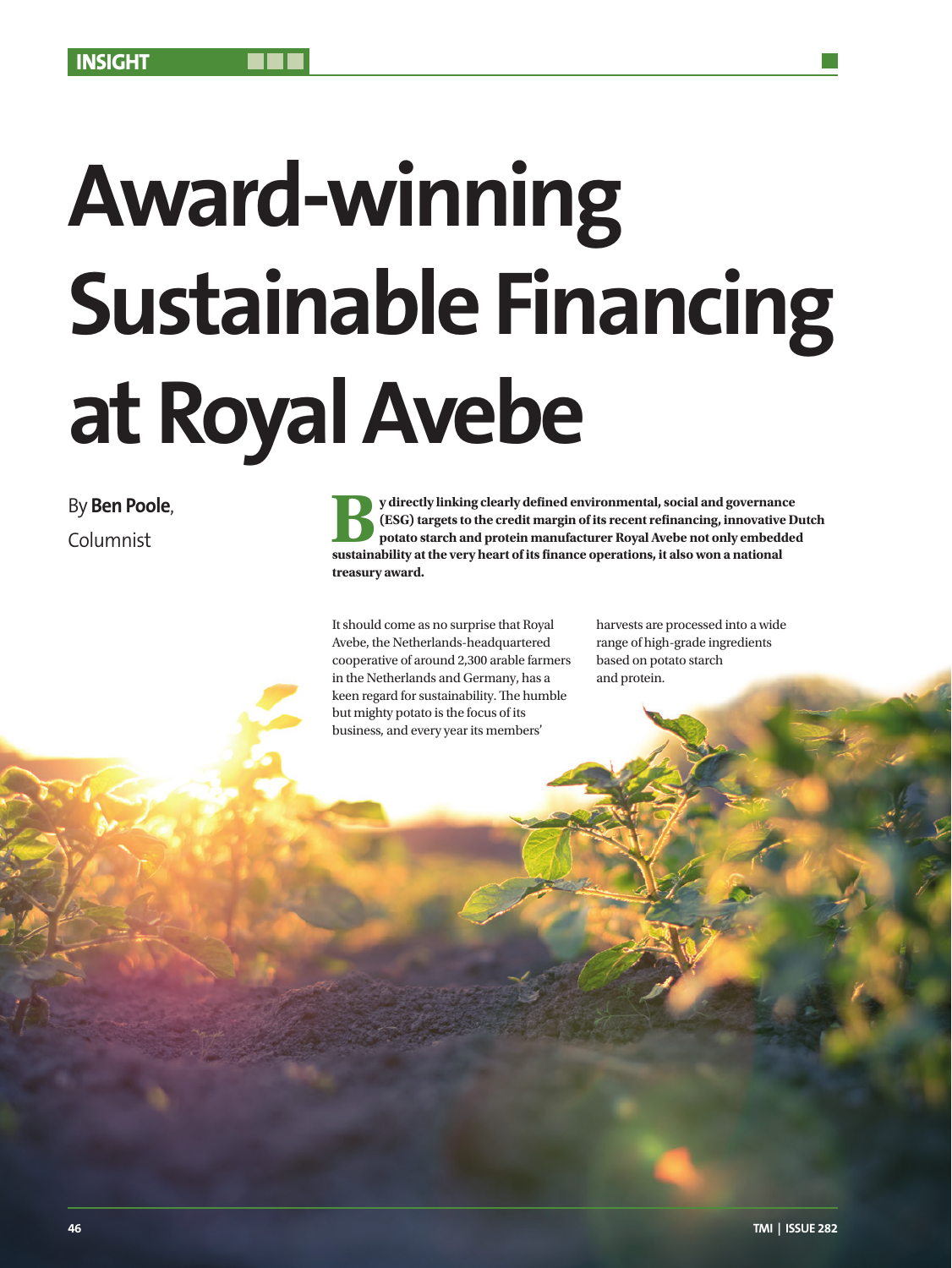# **Award-winning Sustainable Financing at Royal Avebe**

# By **Ben Poole**,

By **Ben Poole**,<br> **By Ben Poole**,<br> **By directly linking clearly defined environmental, social and governance**<br> **EGG**) targets to the credit margin of its recent refinancing, innovative D<br> **EGG** and protein manufacturer Roya **(ESG) targets to the credit margin of its recent refinancing, innovative Dutch potato starch and protein manufacturer Royal Avebe not only embedded sustainability at the very heart of its finance operations, it also won a national treasury award.**

> It should come as no surprise that Royal Avebe, the Netherlands-headquartered cooperative of around 2,300 arable farmers in the Netherlands and Germany, has a keen regard for sustainability. The humble but mighty potato is the focus of its business, and every year its members'

harvests are processed into a wide range of high-grade ingredients based on potato starch and protein.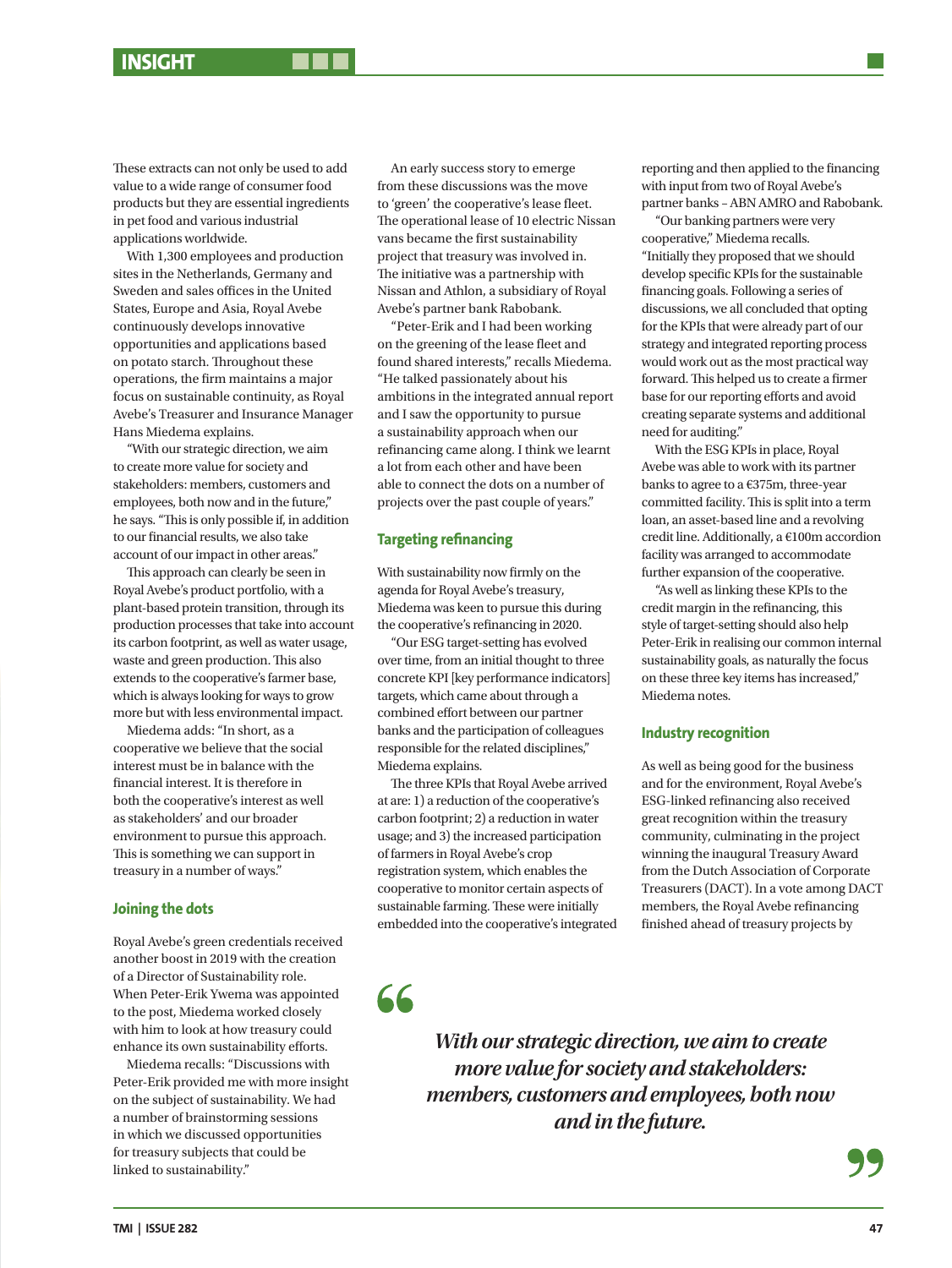These extracts can not only be used to add value to a wide range of consumer food products but they are essential ingredients in pet food and various industrial applications worldwide.

With 1,300 employees and production sites in the Netherlands, Germany and Sweden and sales offices in the United States, Europe and Asia, Royal Avebe continuously develops innovative opportunities and applications based on potato starch. Throughout these operations, the firm maintains a major focus on sustainable continuity, as Royal Avebe's Treasurer and Insurance Manager Hans Miedema explains.

"With our strategic direction, we aim to create more value for society and stakeholders: members, customers and employees, both now and in the future," he says. "This is only possible if, in addition to our financial results, we also take account of our impact in other areas."

This approach can clearly be seen in Royal Avebe's product portfolio, with a plant-based protein transition, through its production processes that take into account its carbon footprint, as well as water usage, waste and green production. This also extends to the cooperative's farmer base, which is always looking for ways to grow more but with less environmental impact.

Miedema adds: "In short, as a cooperative we believe that the social interest must be in balance with the financial interest. It is therefore in both the cooperative's interest as well as stakeholders' and our broader environment to pursue this approach. This is something we can support in treasury in a number of ways."

### **Joining the dots**

Royal Avebe's green credentials received another boost in 2019 with the creation of a Director of Sustainability role. When Peter-Erik Ywema was appointed to the post, Miedema worked closely with him to look at how treasury could enhance its own sustainability efforts.

Miedema recalls: "Discussions with Peter-Erik provided me with more insight on the subject of sustainability. We had a number of brainstorming sessions in which we discussed opportunities for treasury subjects that could be linked to sustainability."

An early success story to emerge from these discussions was the move to 'green' the cooperative's lease fleet. The operational lease of 10 electric Nissan vans became the first sustainability project that treasury was involved in. The initiative was a partnership with Nissan and Athlon, a subsidiary of Royal Avebe's partner bank Rabobank.

"Peter-Erik and I had been working on the greening of the lease fleet and found shared interests," recalls Miedema. "He talked passionately about his ambitions in the integrated annual report and I saw the opportunity to pursue a sustainability approach when our refinancing came along. I think we learnt a lot from each other and have been able to connect the dots on a number of projects over the past couple of years."

### **Targeting refinancing**

With sustainability now firmly on the agenda for Royal Avebe's treasury, Miedema was keen to pursue this during the cooperative's refinancing in 2020.

"Our ESG target-setting has evolved over time, from an initial thought to three concrete KPI [key performance indicators] targets, which came about through a combined effort between our partner banks and the participation of colleagues responsible for the related disciplines," Miedema explains.

The three KPIs that Royal Avebe arrived at are: 1) a reduction of the cooperative's carbon footprint; 2) a reduction in water usage; and 3) the increased participation of farmers in Royal Avebe's crop registration system, which enables the cooperative to monitor certain aspects of sustainable farming. These were initially embedded into the cooperative's integrated reporting and then applied to the financing with input from two of Royal Avebe's partner banks – ABN AMRO and Rabobank.

"Our banking partners were very cooperative," Miedema recalls. "Initially they proposed that we should develop specific KPIs for the sustainable financing goals. Following a series of discussions, we all concluded that opting for the KPIs that were already part of our strategy and integrated reporting process would work out as the most practical way forward. This helped us to create a firmer base for our reporting efforts and avoid creating separate systems and additional need for auditing."

With the ESG KPIs in place, Royal Avebe was able to work with its partner banks to agree to a €375m, three-year committed facility. This is split into a term loan, an asset-based line and a revolving credit line. Additionally, a €100m accordion facility was arranged to accommodate further expansion of the cooperative.

"As well as linking these KPIs to the credit margin in the refinancing, this style of target-setting should also help Peter-Erik in realising our common internal sustainability goals, as naturally the focus on these three key items has increased," Miedema notes.

### **Industry recognition**

As well as being good for the business and for the environment, Royal Avebe's ESG-linked refinancing also received great recognition within the treasury community, culminating in the project winning the inaugural Treasury Award from the Dutch Association of Corporate Treasurers (DACT). In a vote among DACT members, the Royal Avebe refinancing finished ahead of treasury projects by

66

*With our strategic direction, we aim to create more value for society and stakeholders: members, customers and employees, both now and in the future.*